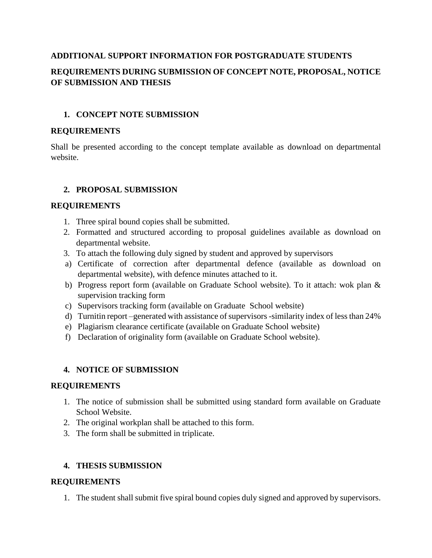#### **ADDITIONAL SUPPORT INFORMATION FOR POSTGRADUATE STUDENTS**

# **REQUIREMENTS DURING SUBMISSION OF CONCEPT NOTE, PROPOSAL, NOTICE OF SUBMISSION AND THESIS**

## **1. CONCEPT NOTE SUBMISSION**

#### **REQUIREMENTS**

Shall be presented according to the concept template available as download on departmental website.

## **2. PROPOSAL SUBMISSION**

#### **REQUIREMENTS**

- 1. Three spiral bound copies shall be submitted.
- 2. Formatted and structured according to proposal guidelines available as download on departmental website.
- 3. To attach the following duly signed by student and approved by supervisors
- a) Certificate of correction after departmental defence (available as download on departmental website), with defence minutes attached to it.
- b) Progress report form (available on Graduate School website). To it attach: wok plan & supervision tracking form
- c) Supervisors tracking form (available on Graduate School website)
- d) Turnitin report –generated with assistance of supervisors -similarity index of less than 24%
- e) Plagiarism clearance certificate (available on Graduate School website)
- f) Declaration of originality form (available on Graduate School website).

#### **4. NOTICE OF SUBMISSION**

#### **REQUIREMENTS**

- 1. The notice of submission shall be submitted using standard form available on Graduate School Website.
- 2. The original workplan shall be attached to this form.
- 3. The form shall be submitted in triplicate.

## **4. THESIS SUBMISSION**

#### **REQUIREMENTS**

1. The student shall submit five spiral bound copies duly signed and approved by supervisors.